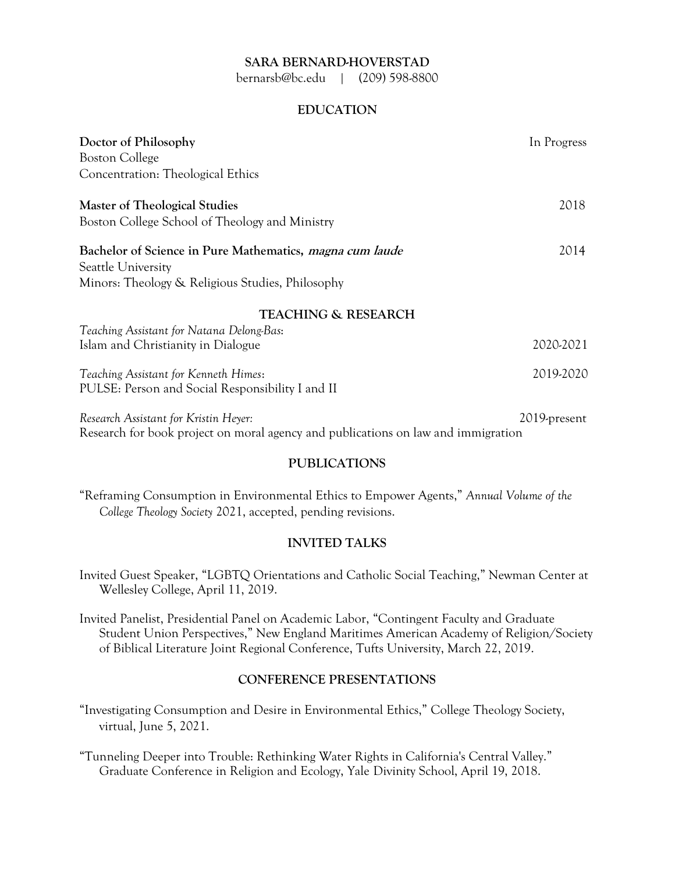### **SARA BERNARD-HOVERSTAD**

bernarsb@bc.edu | (209) 598-8800

## **EDUCATION**

| Doctor of Philosophy                                                              | In Progress  |
|-----------------------------------------------------------------------------------|--------------|
| <b>Boston College</b>                                                             |              |
| Concentration: Theological Ethics                                                 |              |
| Master of Theological Studies                                                     | 2018         |
| Boston College School of Theology and Ministry                                    |              |
| Bachelor of Science in Pure Mathematics, magna cum laude<br>Seattle University    | 2014         |
| Minors: Theology & Religious Studies, Philosophy                                  |              |
| <b>TEACHING &amp; RESEARCH</b>                                                    |              |
| Teaching Assistant for Natana Delong-Bas:                                         |              |
| Islam and Christianity in Dialogue                                                | 2020-2021    |
| Teaching Assistant for Kenneth Himes:                                             | 2019-2020    |
| PULSE: Person and Social Responsibility I and II                                  |              |
| Research Assistant for Kristin Heyer:                                             | 2019-present |
| Research for book project on moral agency and publications on law and immigration |              |

#### **PUBLICATIONS**

"Reframing Consumption in Environmental Ethics to Empower Agents," *Annual Volume of the College Theology Society* 2021, accepted, pending revisions.

#### **INVITED TALKS**

Invited Guest Speaker, "LGBTQ Orientations and Catholic Social Teaching," Newman Center at Wellesley College, April 11, 2019.

Invited Panelist, Presidential Panel on Academic Labor, "Contingent Faculty and Graduate Student Union Perspectives," New England Maritimes American Academy of Religion/Society of Biblical Literature Joint Regional Conference, Tufts University, March 22, 2019.

## **CONFERENCE PRESENTATIONS**

"Investigating Consumption and Desire in Environmental Ethics," College Theology Society, virtual, June 5, 2021.

"Tunneling Deeper into Trouble: Rethinking Water Rights in California's Central Valley." Graduate Conference in Religion and Ecology, Yale Divinity School, April 19, 2018.